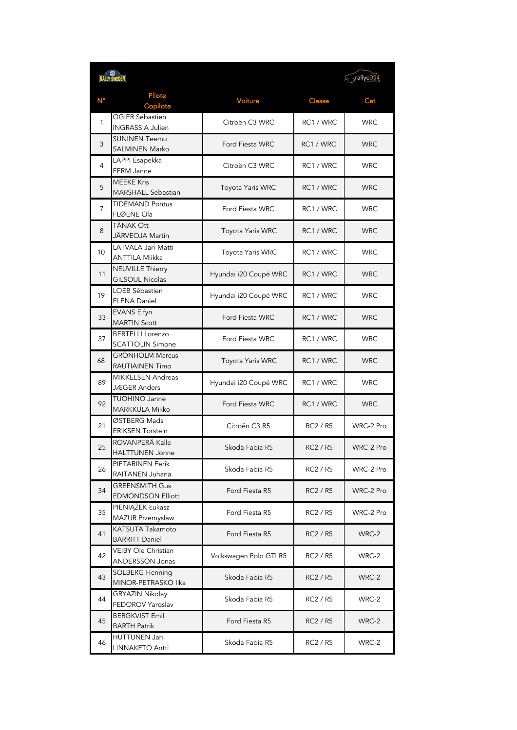|    | <b>RALLY SWEDEN</b>                                |                        |           | rallye054  |
|----|----------------------------------------------------|------------------------|-----------|------------|
| N° | Pilote<br>Copilote                                 | Voiture                | Classe    | Cat        |
| 1  | OGIER Sébastien<br><b>INGRASSIA Julien</b>         | Citroën C3 WRC         | RC1 / WRC | <b>WRC</b> |
| 3  | <b>SUNINEN Teemu</b><br>SALMINEN Marko             | Ford Fiesta WRC        | RC1 / WRC | <b>WRC</b> |
| 4  | LAPPI Esapekka<br>FERM Janne                       | Citroën C3 WRC         | RC1 / WRC | <b>WRC</b> |
| 5  | <b>MEEKE Kris</b><br><b>MARSHALL Sebastian</b>     | Toyota Yaris WRC       | RC1 / WRC | <b>WRC</b> |
| 7  | <b>TIDEMAND Pontus</b><br>FLØENE Ola               | Ford Fiesta WRC        | RC1 / WRC | <b>WRC</b> |
| 8  | TÄNAK Ott<br>JÄRVEOJA Martin                       | Toyota Yaris WRC       | RC1 / WRC | <b>WRC</b> |
| 10 | LATVALA Jari-Matti<br>ANTTILA Miikka               | Toyota Yaris WRC       | RC1 / WRC | <b>WRC</b> |
| 11 | <b>NEUVILLE Thierry</b><br><b>GILSOUL Nicolas</b>  | Hyundai i20 Coupé WRC  | RC1 / WRC | <b>WRC</b> |
| 19 | LOEB Sébastien<br><b>ELENA Daniel</b>              | Hyundai i20 Coupé WRC  | RC1 / WRC | <b>WRC</b> |
| 33 | <b>EVANS Elfyn</b><br><b>MARTIN Scott</b>          | Ford Fiesta WRC        | RC1 / WRC | <b>WRC</b> |
| 37 | <b>BERTELLI Lorenzo</b><br><b>SCATTOLIN Simone</b> | Ford Fiesta WRC        | RC1 / WRC | <b>WRC</b> |
| 68 | <b>GRÖNHOLM Marcus</b><br><b>RAUTIAINEN Timo</b>   | Toyota Yaris WRC       | RC1 / WRC | <b>WRC</b> |
| 89 | <b>MIKKELSEN Andreas</b><br>JÆGER Anders           | Hyundai i20 Coupé WRC  | RC1 / WRC | <b>WRC</b> |
| 92 | TUOHINO Janne<br><b>MARKKULA Mikko</b>             | Ford Fiesta WRC        | RC1 / WRC | <b>WRC</b> |
| 21 | ØSTBERG Mads<br><b>ERIKSEN Torstein</b>            | Citroën C3 R5          | RC2 / R5  | WRC-2 Pro  |
| 25 | ROVANPERA Kalle<br><b>HALTTUNEN</b> Jonne          | Skoda Fabia R5         | RC2 / R5  | WRC-2 Pro  |
| 26 | PIETARINEN Eerik<br>RAITANEN Juhana                | Skoda Fabia R5         | RC2 / R5  | WRC-2 Pro  |
| 34 | <b>GREENSMITH Gus</b><br><b>EDMONDSON Elliott</b>  | Ford Fiesta R5         | RC2 / R5  | WRC-2 Pro  |
| 35 | PIENIĄŻEK Łukasz<br>MAZUR Przemysław               | Ford Fiesta R5         | RC2 / R5  | WRC-2 Pro  |
| 41 | KATSUTA Takamoto<br><b>BARRITT Daniel</b>          | Ford Fiesta R5         | RC2 / R5  | WRC-2      |
| 42 | VEIBY Ole Christian<br><b>ANDERSSON Jonas</b>      | Volkswagen Polo GTI R5 | RC2 / R5  | WRC-2      |
| 43 | <b>SOLBERG Henning</b><br>MINOR-PETRASKO Ilka      | Skoda Fabia R5         | RC2 / R5  | WRC-2      |
| 44 | GRYAZIN Nikolay<br>FEDOROV Yaroslav                | Skoda Fabia R5         | RC2 / R5  | WRC-2      |
| 45 | <b>BERGKVIST Emil</b><br><b>BARTH Patrik</b>       | Ford Fiesta R5         | RC2 / R5  | WRC-2      |
| 46 | <b>HUTTUNEN Jari</b><br>LINNAKETO Antti            | Skoda Fabia R5         | RC2 / R5  | WRC-2      |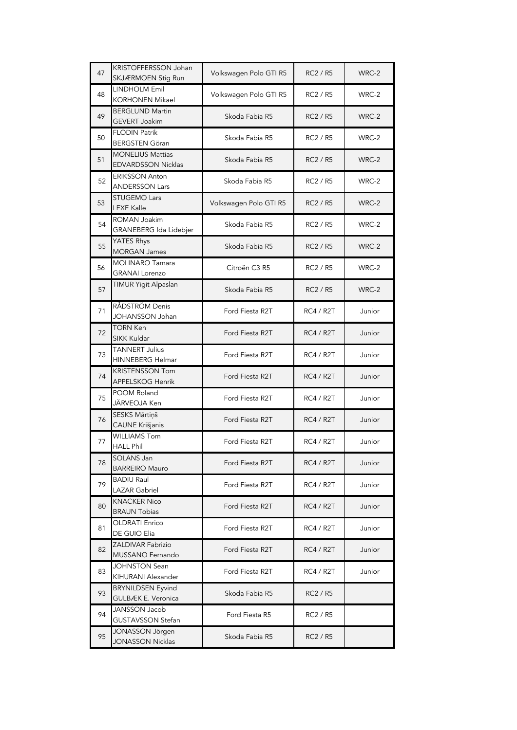| 47 | KRISTOFFERSSON Johan<br>SKJÆRMOEN Stig Run           | Volkswagen Polo GTI R5 | <b>RC2 / R5</b>  | WRC-2  |
|----|------------------------------------------------------|------------------------|------------------|--------|
| 48 | <b>LINDHOLM Emil</b><br><b>KORHONEN Mikael</b>       | Volkswagen Polo GTI R5 | <b>RC2 / R5</b>  | WRC-2  |
| 49 | <b>BERGLUND Martin</b><br><b>GEVERT Joakim</b>       | Skoda Fabia R5         | RC2 / R5         | WRC-2  |
| 50 | <b>FLODIN Patrik</b><br><b>BERGSTEN Göran</b>        | Skoda Fabia R5         | RC2 / R5         | WRC-2  |
| 51 | <b>MONELIUS Mattias</b><br><b>EDVARDSSON Nicklas</b> | Skoda Fabia R5         | <b>RC2 / R5</b>  | WRC-2  |
| 52 | <b>ERIKSSON Anton</b><br><b>ANDERSSON Lars</b>       | Skoda Fabia R5         | RC2 / R5         | WRC-2  |
| 53 | <b>STUGEMO Lars</b><br><b>LEXE Kalle</b>             | Volkswagen Polo GTI R5 | RC2 / R5         | WRC-2  |
| 54 | <b>ROMAN Joakim</b><br>GRANEBERG Ida Lidebjer        | Skoda Fabia R5         | RC2 / R5         | WRC-2  |
| 55 | YATES Rhys<br><b>MORGAN James</b>                    | Skoda Fabia R5         | <b>RC2 / R5</b>  | WRC-2  |
| 56 | <b>MOLINARO Tamara</b><br><b>GRANAI Lorenzo</b>      | Citroën C3 R5          | RC2 / R5         | WRC-2  |
| 57 | TIMUR Yigit Alpaslan                                 | Skoda Fabia R5         | <b>RC2 / R5</b>  | WRC-2  |
| 71 | RÅDSTRÖM Denis<br><b>JOHANSSON Johan</b>             | Ford Fiesta R2T        | <b>RC4 / R2T</b> | Junior |
| 72 | <b>TORN Ken</b><br><b>SIKK Kuldar</b>                | Ford Fiesta R2T        | <b>RC4 / R2T</b> | Junior |
| 73 | <b>TANNERT Julius</b><br>HINNEBERG Helmar            | Ford Fiesta R2T        | <b>RC4 / R2T</b> | Junior |
| 74 | <b>KRISTENSSON Tom</b><br>APPELSKOG Henrik           | Ford Fiesta R2T        | RC4 / R2T        | Junior |
| 75 | POOM Roland<br>JÄRVEOJA Ken                          | Ford Fiesta R2T        | <b>RC4 / R2T</b> | Junior |
| 76 | <b>SESKS Mārtiņš</b><br><b>CAUNE Krišjanis</b>       | Ford Fiesta R2T        | RC4 / R2T        | Junior |
| 77 | <b>WILLIAMS Tom</b><br><b>HALL Phil</b>              | Ford Fiesta R2T        | <b>RC4 / R2T</b> | Junior |
| 78 | SOLANS Jan<br><b>BARREIRO Mauro</b>                  | Ford Fiesta R2T        | <b>RC4 / R2T</b> | Junior |
| 79 | <b>BADIU Raul</b><br><b>LAZAR Gabriel</b>            | Ford Fiesta R2T        | RC4 / R2T        | Junior |
| 80 | <b>KNACKER Nico</b><br><b>BRAUN Tobias</b>           | Ford Fiesta R2T        | RC4 / R2T        | Junior |
| 81 | <b>OLDRATI Enrico</b><br>DE GUIO Elia                | Ford Fiesta R2T        | RC4 / R2T        | Junior |
| 82 | <b>ZALDIVAR Fabrizio</b><br>MUSSANO Fernando         | Ford Fiesta R2T        | RC4 / R2T        | Junior |
| 83 | <b>JOHNSTON Sean</b><br>KIHURANI Alexander           | Ford Fiesta R2T        | RC4 / R2T        | Junior |
| 93 | <b>BRYNILDSEN Eyvind</b><br>GULBÆK E. Veronica       | Skoda Fabia R5         | RC2 / R5         |        |
| 94 | <b>JANSSON Jacob</b><br><b>GUSTAVSSON Stefan</b>     | Ford Fiesta R5         | RC2 / R5         |        |
| 95 | JONASSON Jörgen<br><b>JONASSON Nicklas</b>           | Skoda Fabia R5         | RC2 / R5         |        |